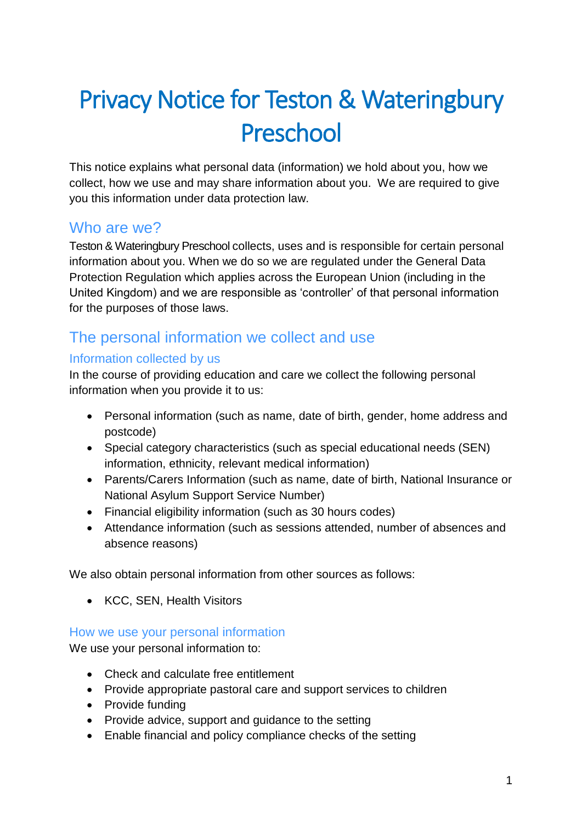# Privacy Notice for Teston & Wateringbury Preschool

This notice explains what personal data (information) we hold about you, how we collect, how we use and may share information about you. We are required to give you this information under data protection law.

## Who are we?

Teston & Wateringbury Preschool collects, uses and is responsible for certain personal information about you. When we do so we are regulated under the General Data Protection Regulation which applies across the European Union (including in the United Kingdom) and we are responsible as 'controller' of that personal information for the purposes of those laws.

## The personal information we collect and use

#### Information collected by us

In the course of providing education and care we collect the following personal information when you provide it to us:

- Personal information (such as name, date of birth, gender, home address and postcode)
- Special category characteristics (such as special educational needs (SEN) information, ethnicity, relevant medical information)
- Parents/Carers Information (such as name, date of birth, National Insurance or National Asylum Support Service Number)
- Financial eligibility information (such as 30 hours codes)
- Attendance information (such as sessions attended, number of absences and absence reasons)

We also obtain personal information from other sources as follows:

• KCC, SEN, Health Visitors

#### How we use your personal information

We use your personal information to:

- Check and calculate free entitlement
- Provide appropriate pastoral care and support services to children
- Provide funding
- Provide advice, support and guidance to the setting
- Enable financial and policy compliance checks of the setting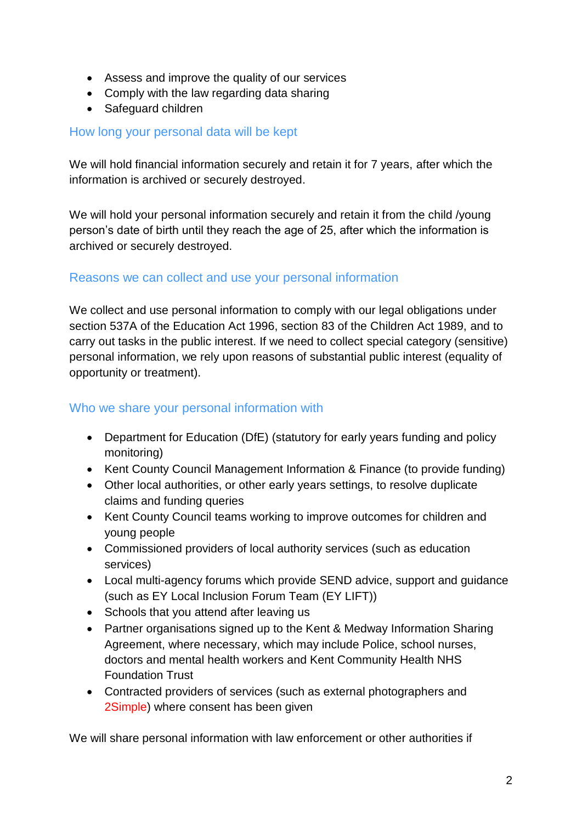- Assess and improve the quality of our services
- Comply with the law regarding data sharing
- Safeguard children

#### How long your personal data will be kept

We will hold financial information securely and retain it for 7 years, after which the information is archived or securely destroyed.

We will hold your personal information securely and retain it from the child /young person's date of birth until they reach the age of 25, after which the information is archived or securely destroyed.

#### Reasons we can collect and use your personal information

We collect and use personal information to comply with our legal obligations under section 537A of the Education Act 1996, section 83 of the Children Act 1989, and to carry out tasks in the public interest. If we need to collect special category (sensitive) personal information, we rely upon reasons of substantial public interest (equality of opportunity or treatment).

#### Who we share your personal information with

- Department for Education (DfE) (statutory for early years funding and policy monitoring)
- Kent County Council Management Information & Finance (to provide funding)
- Other local authorities, or other early years settings, to resolve duplicate claims and funding queries
- Kent County Council teams working to improve outcomes for children and young people
- Commissioned providers of local authority services (such as education services)
- Local multi-agency forums which provide SEND advice, support and guidance (such as EY Local Inclusion Forum Team (EY LIFT))
- Schools that you attend after leaving us
- Partner organisations signed up to the Kent & Medway Information Sharing Agreement, where necessary, which may include Police, school nurses, doctors and mental health workers and Kent Community Health NHS Foundation Trust
- Contracted providers of services (such as external photographers and 2Simple) where consent has been given

We will share personal information with law enforcement or other authorities if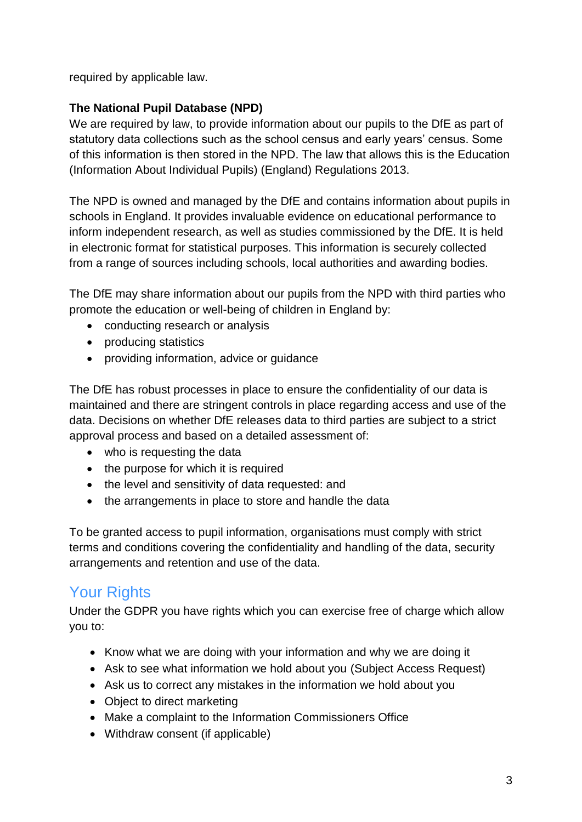required by applicable law.

#### **The National Pupil Database (NPD)**

We are required by law, to provide information about our pupils to the DfE as part of statutory data collections such as the school census and early years' census. Some of this information is then stored in the NPD. The law that allows this is the Education (Information About Individual Pupils) (England) Regulations 2013.

The NPD is owned and managed by the DfE and contains information about pupils in schools in England. It provides invaluable evidence on educational performance to inform independent research, as well as studies commissioned by the DfE. It is held in electronic format for statistical purposes. This information is securely collected from a range of sources including schools, local authorities and awarding bodies.

The DfE may share information about our pupils from the NPD with third parties who promote the education or well-being of children in England by:

- conducting research or analysis
- producing statistics
- providing information, advice or guidance

The DfE has robust processes in place to ensure the confidentiality of our data is maintained and there are stringent controls in place regarding access and use of the data. Decisions on whether DfE releases data to third parties are subject to a strict approval process and based on a detailed assessment of:

- who is requesting the data
- the purpose for which it is required
- the level and sensitivity of data requested: and
- the arrangements in place to store and handle the data

To be granted access to pupil information, organisations must comply with strict terms and conditions covering the confidentiality and handling of the data, security arrangements and retention and use of the data.

## Your Rights

Under the GDPR you have rights which you can exercise free of charge which allow you to:

- Know what we are doing with your information and why we are doing it
- Ask to see what information we hold about you (Subject Access Request)
- Ask us to correct any mistakes in the information we hold about you
- Object to direct marketing
- Make a complaint to the Information Commissioners Office
- Withdraw consent (if applicable)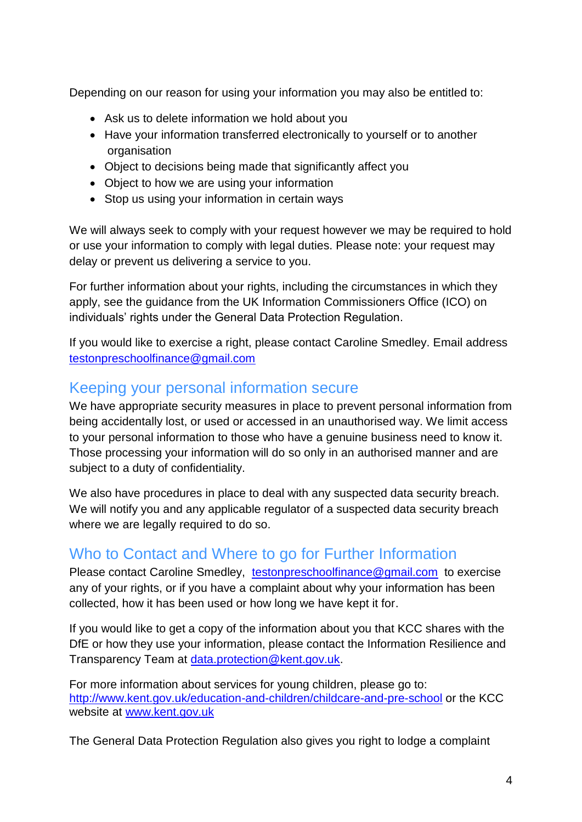Depending on our reason for using your information you may also be entitled to:

- Ask us to delete information we hold about you
- Have your information transferred electronically to yourself or to another organisation
- Object to decisions being made that significantly affect you
- Object to how we are using your information
- Stop us using your information in certain ways

We will always seek to comply with your request however we may be required to hold or use your information to comply with legal duties. Please note: your request may delay or prevent us delivering a service to you.

For further information about your rights, including the circumstances in which they apply, see the guidance from the UK Information Commissioners Office (ICO) on individuals' rights under the General Data Protection Regulation.

If you would like to exercise a right, please contact Caroline Smedley. Email address [testonpreschoolfinance@gmail.com](mailto:testonpreschoolfinance@gmail.com)

### Keeping your personal information secure

We have appropriate security measures in place to prevent personal information from being accidentally lost, or used or accessed in an unauthorised way. We limit access to your personal information to those who have a genuine business need to know it. Those processing your information will do so only in an authorised manner and are subject to a duty of confidentiality.

We also have procedures in place to deal with any suspected data security breach. We will notify you and any applicable regulator of a suspected data security breach where we are legally required to do so.

## Who to Contact and Where to go for Further Information

Please contact Caroline Smedley, [testonpreschoolfinance@gmail.com](mailto:testonpreschoolfinance@gmail.com) to exercise any of your rights, or if you have a complaint about why your information has been collected, how it has been used or how long we have kept it for.

If you would like to get a copy of the information about you that KCC shares with the DfE or how they use your information, please contact the Information Resilience and Transparency Team at [data.protection@kent.gov.uk.](mailto:data.protection@kent.gov.uk)

For more information about services for young children, please go to: <http://www.kent.gov.uk/education-and-children/childcare-and-pre-school> or the KCC website at [www.kent.gov.uk](http://www.kent.gov.uk/)

The General Data Protection Regulation also gives you right to lodge a complaint